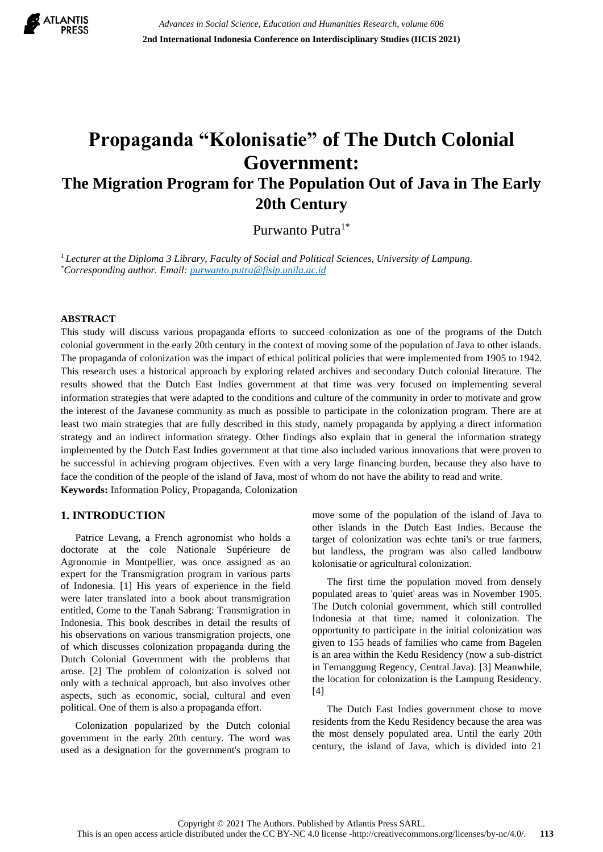

# **Propaganda "Kolonisatie" of The Dutch Colonial Government: The Migration Program for The Population Out of Java in The Early 20th Century**

Purwanto Putra<sup>1\*</sup>

*<sup>1</sup>Lecturer at the Diploma 3 Library, Faculty of Social and Political Sciences, University of Lampung. \*Corresponding author. Email[: purwanto.putra@fisip.unila.ac.id](mailto:purwanto.putra@fisip.unila.ac.id)*

## **ABSTRACT**

This study will discuss various propaganda efforts to succeed colonization as one of the programs of the Dutch colonial government in the early 20th century in the context of moving some of the population of Java to other islands. The propaganda of colonization was the impact of ethical political policies that were implemented from 1905 to 1942. This research uses a historical approach by exploring related archives and secondary Dutch colonial literature. The results showed that the Dutch East Indies government at that time was very focused on implementing several information strategies that were adapted to the conditions and culture of the community in order to motivate and grow the interest of the Javanese community as much as possible to participate in the colonization program. There are at least two main strategies that are fully described in this study, namely propaganda by applying a direct information strategy and an indirect information strategy. Other findings also explain that in general the information strategy implemented by the Dutch East Indies government at that time also included various innovations that were proven to be successful in achieving program objectives. Even with a very large financing burden, because they also have to face the condition of the people of the island of Java, most of whom do not have the ability to read and write. **Keywords:** Information Policy, Propaganda, Colonization

# **1. INTRODUCTION**

Patrice Levang, a French agronomist who holds a doctorate at the cole Nationale Supérieure de Agronomie in Montpellier, was once assigned as an expert for the Transmigration program in various parts of Indonesia. [1] His years of experience in the field were later translated into a book about transmigration entitled, Come to the Tanah Sabrang: Transmigration in Indonesia. This book describes in detail the results of his observations on various transmigration projects, one of which discusses colonization propaganda during the Dutch Colonial Government with the problems that arose. [2] The problem of colonization is solved not only with a technical approach, but also involves other aspects, such as economic, social, cultural and even political. One of them is also a propaganda effort.

Colonization popularized by the Dutch colonial government in the early 20th century. The word was used as a designation for the government's program to

move some of the population of the island of Java to other islands in the Dutch East Indies. Because the target of colonization was echte tani's or true farmers, but landless, the program was also called landbouw kolonisatie or agricultural colonization.

The first time the population moved from densely populated areas to 'quiet' areas was in November 1905. The Dutch colonial government, which still controlled Indonesia at that time, named it colonization. The opportunity to participate in the initial colonization was given to 155 heads of families who came from Bagelen is an area within the Kedu Residency (now a sub-district in Temanggung Regency, Central Java). [3] Meanwhile, the location for colonization is the Lampung Residency. [4]

The Dutch East Indies government chose to move residents from the Kedu Residency because the area was the most densely populated area. Until the early 20th century, the island of Java, which is divided into 21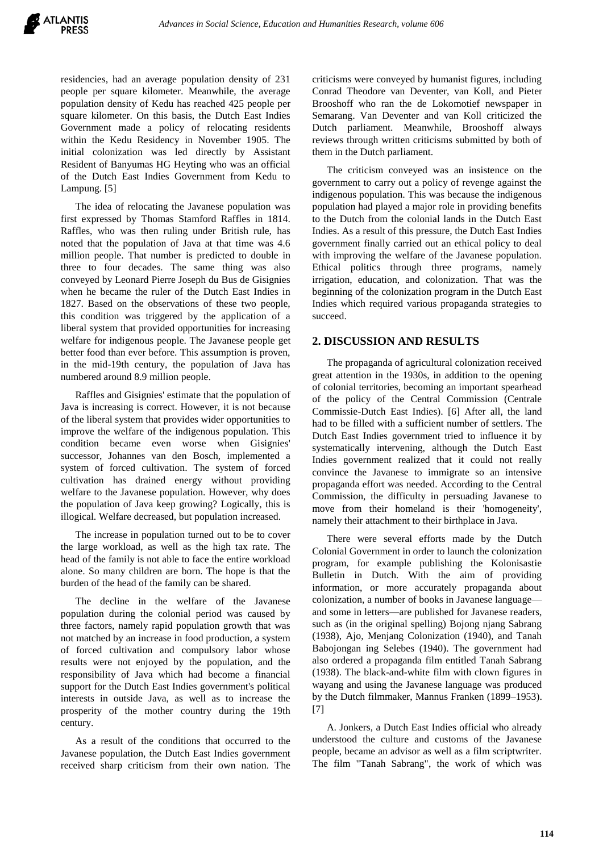residencies, had an average population density of 231 people per square kilometer. Meanwhile, the average population density of Kedu has reached 425 people per square kilometer. On this basis, the Dutch East Indies Government made a policy of relocating residents within the Kedu Residency in November 1905. The initial colonization was led directly by Assistant Resident of Banyumas HG Heyting who was an official of the Dutch East Indies Government from Kedu to Lampung. [5]

The idea of relocating the Javanese population was first expressed by Thomas Stamford Raffles in 1814. Raffles, who was then ruling under British rule, has noted that the population of Java at that time was 4.6 million people. That number is predicted to double in three to four decades. The same thing was also conveyed by Leonard Pierre Joseph du Bus de Gisignies when he became the ruler of the Dutch East Indies in 1827. Based on the observations of these two people, this condition was triggered by the application of a liberal system that provided opportunities for increasing welfare for indigenous people. The Javanese people get better food than ever before. This assumption is proven, in the mid-19th century, the population of Java has numbered around 8.9 million people.

Raffles and Gisignies' estimate that the population of Java is increasing is correct. However, it is not because of the liberal system that provides wider opportunities to improve the welfare of the indigenous population. This condition became even worse when Gisignies' successor, Johannes van den Bosch, implemented a system of forced cultivation. The system of forced cultivation has drained energy without providing welfare to the Javanese population. However, why does the population of Java keep growing? Logically, this is illogical. Welfare decreased, but population increased.

The increase in population turned out to be to cover the large workload, as well as the high tax rate. The head of the family is not able to face the entire workload alone. So many children are born. The hope is that the burden of the head of the family can be shared.

The decline in the welfare of the Javanese population during the colonial period was caused by three factors, namely rapid population growth that was not matched by an increase in food production, a system of forced cultivation and compulsory labor whose results were not enjoyed by the population, and the responsibility of Java which had become a financial support for the Dutch East Indies government's political interests in outside Java, as well as to increase the prosperity of the mother country during the 19th century.

As a result of the conditions that occurred to the Javanese population, the Dutch East Indies government received sharp criticism from their own nation. The criticisms were conveyed by humanist figures, including Conrad Theodore van Deventer, van Koll, and Pieter Brooshoff who ran the de Lokomotief newspaper in Semarang. Van Deventer and van Koll criticized the Dutch parliament. Meanwhile, Brooshoff always reviews through written criticisms submitted by both of them in the Dutch parliament.

The criticism conveyed was an insistence on the government to carry out a policy of revenge against the indigenous population. This was because the indigenous population had played a major role in providing benefits to the Dutch from the colonial lands in the Dutch East Indies. As a result of this pressure, the Dutch East Indies government finally carried out an ethical policy to deal with improving the welfare of the Javanese population. Ethical politics through three programs, namely irrigation, education, and colonization. That was the beginning of the colonization program in the Dutch East Indies which required various propaganda strategies to succeed.

# **2. DISCUSSION AND RESULTS**

The propaganda of agricultural colonization received great attention in the 1930s, in addition to the opening of colonial territories, becoming an important spearhead of the policy of the Central Commission (Centrale Commissie-Dutch East Indies). [6] After all, the land had to be filled with a sufficient number of settlers. The Dutch East Indies government tried to influence it by systematically intervening, although the Dutch East Indies government realized that it could not really convince the Javanese to immigrate so an intensive propaganda effort was needed. According to the Central Commission, the difficulty in persuading Javanese to move from their homeland is their 'homogeneity', namely their attachment to their birthplace in Java.

There were several efforts made by the Dutch Colonial Government in order to launch the colonization program, for example publishing the Kolonisastie Bulletin in Dutch. With the aim of providing information, or more accurately propaganda about colonization, a number of books in Javanese language and some in letters—are published for Javanese readers, such as (in the original spelling) Bojong njang Sabrang (1938), Ajo, Menjang Colonization (1940), and Tanah Babojongan ing Selebes (1940). The government had also ordered a propaganda film entitled Tanah Sabrang (1938). The black-and-white film with clown figures in wayang and using the Javanese language was produced by the Dutch filmmaker, Mannus Franken (1899–1953). [7]

A. Jonkers, a Dutch East Indies official who already understood the culture and customs of the Javanese people, became an advisor as well as a film scriptwriter. The film "Tanah Sabrang", the work of which was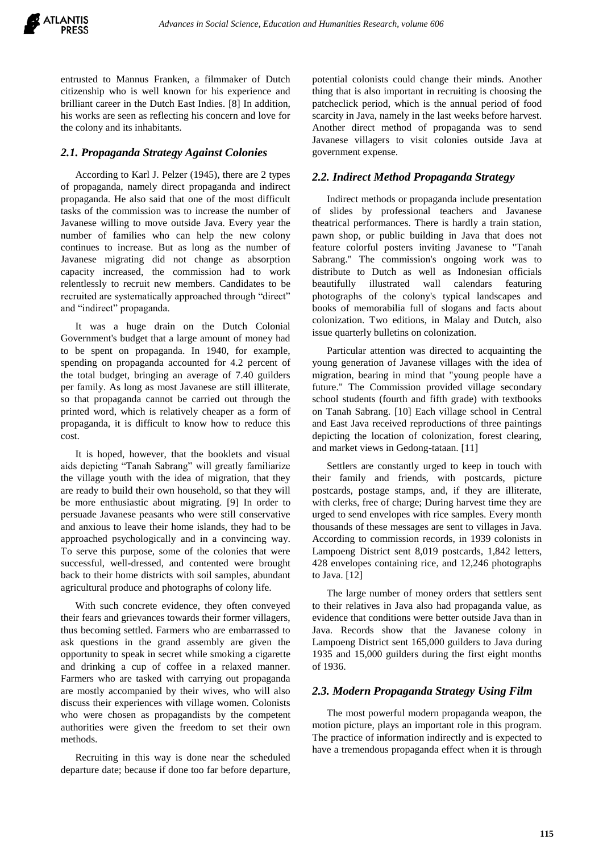entrusted to Mannus Franken, a filmmaker of Dutch citizenship who is well known for his experience and brilliant career in the Dutch East Indies. [8] In addition, his works are seen as reflecting his concern and love for the colony and its inhabitants.

#### *2.1. Propaganda Strategy Against Colonies*

According to Karl J. Pelzer (1945), there are 2 types of propaganda, namely direct propaganda and indirect propaganda. He also said that one of the most difficult tasks of the commission was to increase the number of Javanese willing to move outside Java. Every year the number of families who can help the new colony continues to increase. But as long as the number of Javanese migrating did not change as absorption capacity increased, the commission had to work relentlessly to recruit new members. Candidates to be recruited are systematically approached through "direct" and "indirect" propaganda.

It was a huge drain on the Dutch Colonial Government's budget that a large amount of money had to be spent on propaganda. In 1940, for example, spending on propaganda accounted for 4.2 percent of the total budget, bringing an average of 7.40 guilders per family. As long as most Javanese are still illiterate, so that propaganda cannot be carried out through the printed word, which is relatively cheaper as a form of propaganda, it is difficult to know how to reduce this cost.

It is hoped, however, that the booklets and visual aids depicting "Tanah Sabrang" will greatly familiarize the village youth with the idea of migration, that they are ready to build their own household, so that they will be more enthusiastic about migrating. [9] In order to persuade Javanese peasants who were still conservative and anxious to leave their home islands, they had to be approached psychologically and in a convincing way. To serve this purpose, some of the colonies that were successful, well-dressed, and contented were brought back to their home districts with soil samples, abundant agricultural produce and photographs of colony life.

With such concrete evidence, they often conveyed their fears and grievances towards their former villagers, thus becoming settled. Farmers who are embarrassed to ask questions in the grand assembly are given the opportunity to speak in secret while smoking a cigarette and drinking a cup of coffee in a relaxed manner. Farmers who are tasked with carrying out propaganda are mostly accompanied by their wives, who will also discuss their experiences with village women. Colonists who were chosen as propagandists by the competent authorities were given the freedom to set their own methods.

Recruiting in this way is done near the scheduled departure date; because if done too far before departure,

potential colonists could change their minds. Another thing that is also important in recruiting is choosing the patcheclick period, which is the annual period of food scarcity in Java, namely in the last weeks before harvest. Another direct method of propaganda was to send Javanese villagers to visit colonies outside Java at government expense.

#### *2.2. Indirect Method Propaganda Strategy*

Indirect methods or propaganda include presentation of slides by professional teachers and Javanese theatrical performances. There is hardly a train station, pawn shop, or public building in Java that does not feature colorful posters inviting Javanese to "Tanah Sabrang." The commission's ongoing work was to distribute to Dutch as well as Indonesian officials beautifully illustrated wall calendars featuring photographs of the colony's typical landscapes and books of memorabilia full of slogans and facts about colonization. Two editions, in Malay and Dutch, also issue quarterly bulletins on colonization.

Particular attention was directed to acquainting the young generation of Javanese villages with the idea of migration, bearing in mind that "young people have a future." The Commission provided village secondary school students (fourth and fifth grade) with textbooks on Tanah Sabrang. [10] Each village school in Central and East Java received reproductions of three paintings depicting the location of colonization, forest clearing, and market views in Gedong-tataan. [11]

Settlers are constantly urged to keep in touch with their family and friends, with postcards, picture postcards, postage stamps, and, if they are illiterate, with clerks, free of charge; During harvest time they are urged to send envelopes with rice samples. Every month thousands of these messages are sent to villages in Java. According to commission records, in 1939 colonists in Lampoeng District sent 8,019 postcards, 1,842 letters, 428 envelopes containing rice, and 12,246 photographs to Java. [12]

The large number of money orders that settlers sent to their relatives in Java also had propaganda value, as evidence that conditions were better outside Java than in Java. Records show that the Javanese colony in Lampoeng District sent 165,000 guilders to Java during 1935 and 15,000 guilders during the first eight months of 1936.

#### *2.3. Modern Propaganda Strategy Using Film*

The most powerful modern propaganda weapon, the motion picture, plays an important role in this program. The practice of information indirectly and is expected to have a tremendous propaganda effect when it is through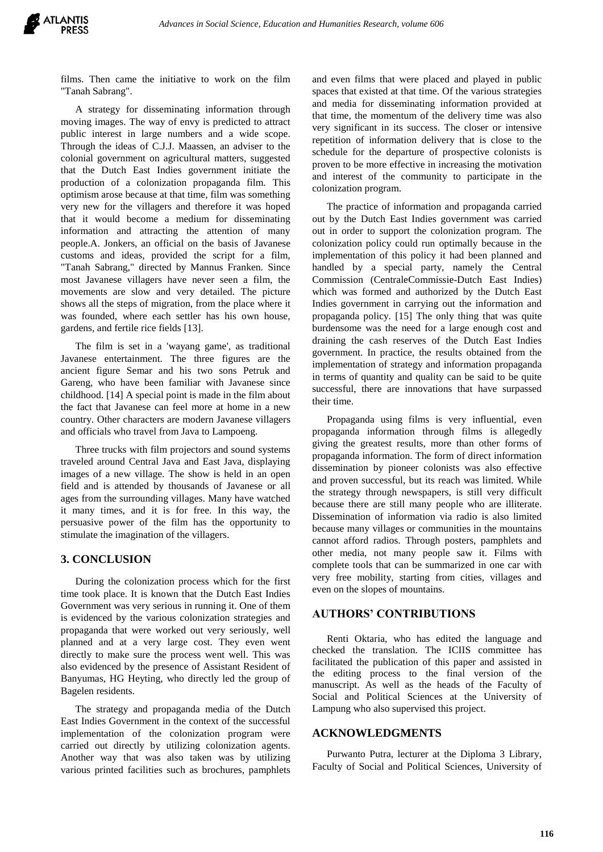films. Then came the initiative to work on the film "Tanah Sabrang".

A strategy for disseminating information through moving images. The way of envy is predicted to attract public interest in large numbers and a wide scope. Through the ideas of C.J.J. Maassen, an adviser to the colonial government on agricultural matters, suggested that the Dutch East Indies government initiate the production of a colonization propaganda film. This optimism arose because at that time, film was something very new for the villagers and therefore it was hoped that it would become a medium for disseminating information and attracting the attention of many people.A. Jonkers, an official on the basis of Javanese customs and ideas, provided the script for a film, "Tanah Sabrang," directed by Mannus Franken. Since most Javanese villagers have never seen a film, the movements are slow and very detailed. The picture shows all the steps of migration, from the place where it was founded, where each settler has his own house, gardens, and fertile rice fields [13].

The film is set in a 'wayang game', as traditional Javanese entertainment. The three figures are the ancient figure Semar and his two sons Petruk and Gareng, who have been familiar with Javanese since childhood. [14] A special point is made in the film about the fact that Javanese can feel more at home in a new country. Other characters are modern Javanese villagers and officials who travel from Java to Lampoeng.

Three trucks with film projectors and sound systems traveled around Central Java and East Java, displaying images of a new village. The show is held in an open field and is attended by thousands of Javanese or all ages from the surrounding villages. Many have watched it many times, and it is for free. In this way, the persuasive power of the film has the opportunity to stimulate the imagination of the villagers.

#### **3. CONCLUSION**

During the colonization process which for the first time took place. It is known that the Dutch East Indies Government was very serious in running it. One of them is evidenced by the various colonization strategies and propaganda that were worked out very seriously, well planned and at a very large cost. They even went directly to make sure the process went well. This was also evidenced by the presence of Assistant Resident of Banyumas, HG Heyting, who directly led the group of Bagelen residents.

The strategy and propaganda media of the Dutch East Indies Government in the context of the successful implementation of the colonization program were carried out directly by utilizing colonization agents. Another way that was also taken was by utilizing various printed facilities such as brochures, pamphlets and even films that were placed and played in public spaces that existed at that time. Of the various strategies and media for disseminating information provided at that time, the momentum of the delivery time was also very significant in its success. The closer or intensive repetition of information delivery that is close to the schedule for the departure of prospective colonists is proven to be more effective in increasing the motivation and interest of the community to participate in the colonization program.

The practice of information and propaganda carried out by the Dutch East Indies government was carried out in order to support the colonization program. The colonization policy could run optimally because in the implementation of this policy it had been planned and handled by a special party, namely the Central Commission (CentraleCommissie-Dutch East Indies) which was formed and authorized by the Dutch East Indies government in carrying out the information and propaganda policy. [15] The only thing that was quite burdensome was the need for a large enough cost and draining the cash reserves of the Dutch East Indies government. In practice, the results obtained from the implementation of strategy and information propaganda in terms of quantity and quality can be said to be quite successful, there are innovations that have surpassed their time.

Propaganda using films is very influential, even propaganda information through films is allegedly giving the greatest results, more than other forms of propaganda information. The form of direct information dissemination by pioneer colonists was also effective and proven successful, but its reach was limited. While the strategy through newspapers, is still very difficult because there are still many people who are illiterate. Dissemination of information via radio is also limited because many villages or communities in the mountains cannot afford radios. Through posters, pamphlets and other media, not many people saw it. Films with complete tools that can be summarized in one car with very free mobility, starting from cities, villages and even on the slopes of mountains.

#### **AUTHORS' CONTRIBUTIONS**

Renti Oktaria, who has edited the language and checked the translation. The ICIIS committee has facilitated the publication of this paper and assisted in the editing process to the final version of the manuscript. As well as the heads of the Faculty of Social and Political Sciences at the University of Lampung who also supervised this project.

#### **ACKNOWLEDGMENTS**

Purwanto Putra, lecturer at the Diploma 3 Library, Faculty of Social and Political Sciences, University of